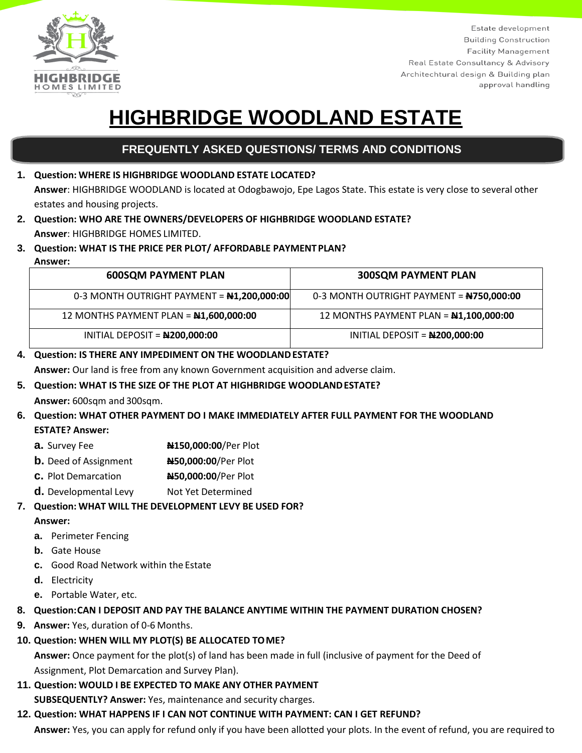

Estate development **Building Construction Facility Management** Real Estate Consultancy & Advisory Architechtural design & Building plan approval handling

# **HIGHBRIDGE WOODLAND ESTATE**

# **GARDENS FREQUENTLY ASKED QUESTIONS/ TERMS AND CONDITIONS**

## **1. Question: WHERE IS HIGHBRIDGE WOODLAND ESTATE LOCATED? Answer**: HIGHBRIDGE WOODLAND is located at Odogbawojo, Epe Lagos State. This estate is very close to several other estates and housing projects.

- **2. Question: WHO ARE THE OWNERS/DEVELOPERS OF HIGHBRIDGE WOODLAND ESTATE? Answer**: HIGHBRIDGE HOMES LIMITED.
- **3. Question: WHAT IS THE PRICE PER PLOT/ AFFORDABLE PAYMENTPLAN?**
- **Answer:**

| <b>600SQM PAYMENT PLAN</b>                      | <b>300SQM PAYMENT PLAN</b>                      |
|-------------------------------------------------|-------------------------------------------------|
| 0-3 MONTH OUTRIGHT PAYMENT = N1,200,000:00      | 0-3 MONTH OUTRIGHT PAYMENT = <b>N750,000:00</b> |
| 12 MONTHS PAYMENT PLAN = $\text{N1,600,000:00}$ | 12 MONTHS PAYMENT PLAN = <b>N1,100,000:00</b>   |
| INITIAL DEPOSIT = N200,000:00                   | INITIAL DEPOSIT = N200,000:00                   |

## **4. Question: IS THERE ANY IMPEDIMENT ON THE WOODLANDESTATE?**

**Answer:** Our land is free from any known Government acquisition and adverse claim.

# **5. Question: WHAT IS THE SIZE OF THE PLOT AT HIGHBRIDGE WOODLANDESTATE?**

**Answer:** 600sqm and 300sqm.

# **6. Question: WHAT OTHER PAYMENT DO I MAKE IMMEDIATELY AFTER FULL PAYMENT FOR THE WOODLAND**

**ESTATE? Answer:**

- **a.** Survey Fee **N150,000:00**/Per Plot
- **b.** Deed of Assignment **N50,000:00**/Per Plot
- **c.** Plot Demarcation **N50,000:00**/Per Plot
- **d.** Developmental Levy Not Yet Determined

# **7. Question: WHAT WILL THE DEVELOPMENT LEVY BE USED FOR?**

## **Answer:**

- **a.** Perimeter Fencing
- **b.** Gate House
- **c.** Good Road Network within the Estate
- **d.** Electricity
- **e.** Portable Water, etc.

# **8. Question:CAN I DEPOSIT AND PAY THE BALANCE ANYTIME WITHIN THE PAYMENT DURATION CHOSEN?**

- **9. Answer:** Yes, duration of 0-6 Months.
- **10. Question: WHEN WILL MY PLOT(S) BE ALLOCATED TOME?**

**Answer:** Once payment for the plot(s) of land has been made in full (inclusive of payment for the Deed of Assignment, Plot Demarcation and Survey Plan).

**11. Question: WOULD I BE EXPECTED TO MAKE ANY OTHER PAYMENT SUBSEQUENTLY? Answer:** Yes, maintenance and security charges.

# **12. Question: WHAT HAPPENS IF I CAN NOT CONTINUE WITH PAYMENT: CAN I GET REFUND?**

**Answer:** Yes, you can apply for refund only if you have been allotted your plots. In the event of refund, you are required to